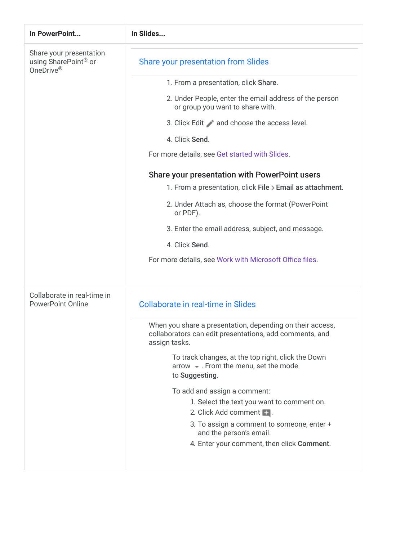| In PowerPoint                                                            | In Slides                                                                                                                             |
|--------------------------------------------------------------------------|---------------------------------------------------------------------------------------------------------------------------------------|
| Share your presentation<br>using SharePoint <sup>®</sup> or<br>OneDrive® | <b>Share your presentation from Slides</b>                                                                                            |
|                                                                          | 1. From a presentation, click Share.                                                                                                  |
|                                                                          | 2. Under People, enter the email address of the person<br>or group you want to share with.                                            |
|                                                                          | 3. Click Edit and choose the access level.                                                                                            |
|                                                                          | 4. Click Send.                                                                                                                        |
|                                                                          | For more details, see Get started with Slides.                                                                                        |
|                                                                          | Share your presentation with PowerPoint users<br>1. From a presentation, click File > Email as attachment.                            |
|                                                                          | 2. Under Attach as, choose the format (PowerPoint<br>or PDF).                                                                         |
|                                                                          | 3. Enter the email address, subject, and message.                                                                                     |
|                                                                          | 4. Click Send.                                                                                                                        |
|                                                                          | For more details, see Work with Microsoft Office files.                                                                               |
| Collaborate in real-time in<br><b>PowerPoint Online</b>                  | Collaborate in real-time in Slides                                                                                                    |
|                                                                          | When you share a presentation, depending on their access,<br>collaborators can edit presentations, add comments, and<br>assign tasks. |
|                                                                          | To track changes, at the top right, click the Down<br>arrow $\bullet$ . From the menu, set the mode<br>to Suggesting.                 |
|                                                                          | To add and assign a comment:                                                                                                          |
|                                                                          | 1. Select the text you want to comment on.<br>2. Click Add comment <b>1.</b>                                                          |
|                                                                          | 3. To assign a comment to someone, enter +<br>and the person's email.                                                                 |
|                                                                          | 4. Enter your comment, then click Comment.                                                                                            |
|                                                                          |                                                                                                                                       |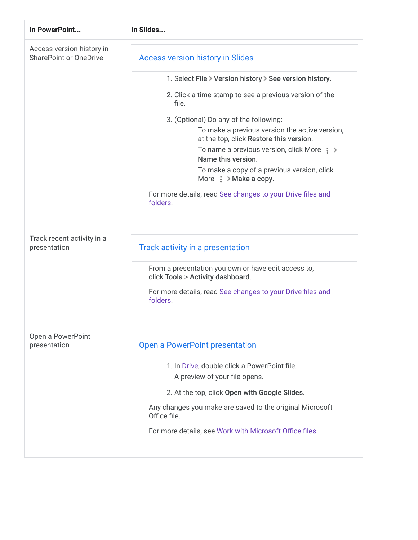| In PowerPoint                                              | In Slides                                                                                 |
|------------------------------------------------------------|-------------------------------------------------------------------------------------------|
| Access version history in<br><b>SharePoint or OneDrive</b> | <b>Access version history in Slides</b>                                                   |
|                                                            | 1. Select File > Version history > See version history.                                   |
|                                                            | 2. Click a time stamp to see a previous version of the<br>file.                           |
|                                                            | 3. (Optional) Do any of the following:                                                    |
|                                                            | To make a previous version the active version,<br>at the top, click Restore this version. |
|                                                            | To name a previous version, click More $\Rightarrow$<br>Name this version.                |
|                                                            | To make a copy of a previous version, click<br>More $\frac{1}{2}$ > Make a copy.          |
|                                                            | For more details, read See changes to your Drive files and<br>folders.                    |
| Track recent activity in a<br>presentation                 | Track activity in a presentation                                                          |
|                                                            | From a presentation you own or have edit access to,<br>click Tools > Activity dashboard.  |
|                                                            | For more details, read See changes to your Drive files and<br>folders.                    |
| Open a PowerPoint<br>presentation                          | <b>Open a PowerPoint presentation</b>                                                     |
|                                                            | 1. In Drive, double-click a PowerPoint file.                                              |
|                                                            | A preview of your file opens.                                                             |
|                                                            | 2. At the top, click Open with Google Slides.                                             |
|                                                            | Any changes you make are saved to the original Microsoft<br>Office file.                  |
|                                                            | For more details, see Work with Microsoft Office files.                                   |